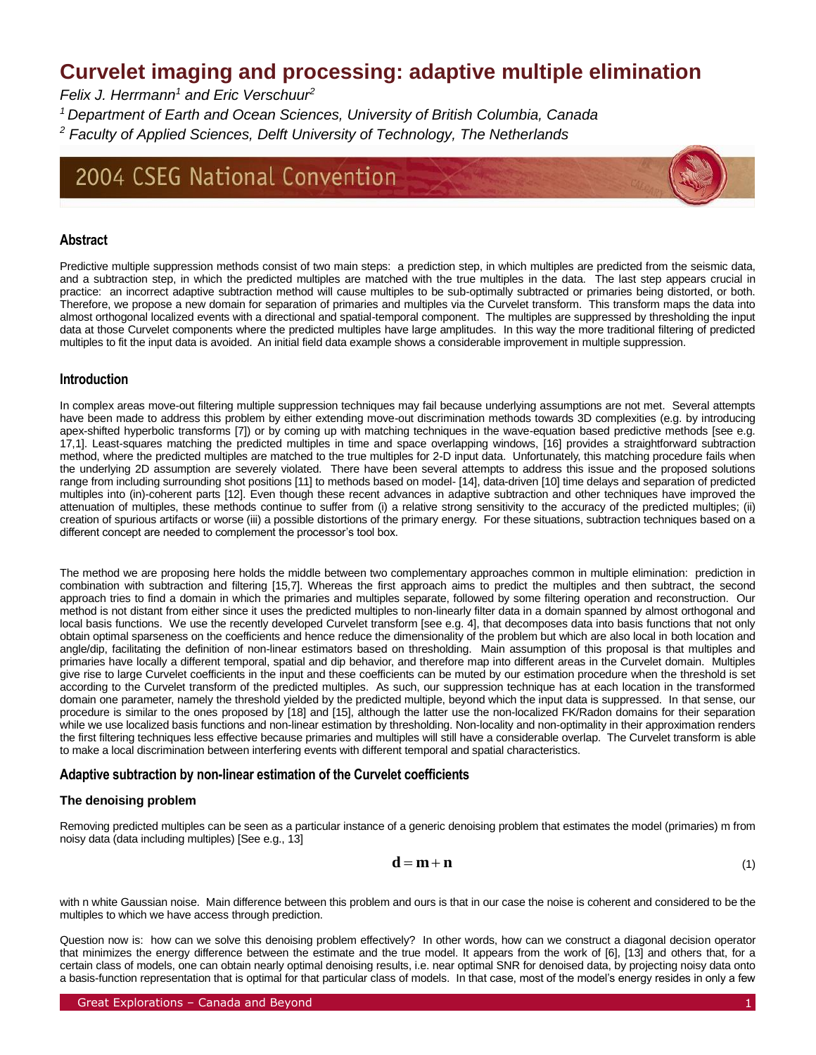## **Curvelet imaging and processing: adaptive multiple elimination**

*Felix J. Herrmann<sup>1</sup> and Eric Verschuur<sup>2</sup>*

*<sup>1</sup>Department of Earth and Ocean Sciences, University of British Columbia, Canada*

*<sup>2</sup> Faculty of Applied Sciences, Delft University of Technology, The Netherlands*

# 2004 CSEG National Convention

## **Abstract**

Predictive multiple suppression methods consist of two main steps: a prediction step, in which multiples are predicted from the seismic data, and a subtraction step, in which the predicted multiples are matched with the true multiples in the data. The last step appears crucial in practice: an incorrect adaptive subtraction method will cause multiples to be sub-optimally subtracted or primaries being distorted, or both. Therefore, we propose a new domain for separation of primaries and multiples via the Curvelet transform. This transform maps the data into almost orthogonal localized events with a directional and spatial-temporal component. The multiples are suppressed by thresholding the input data at those Curvelet components where the predicted multiples have large amplitudes. In this way the more traditional filtering of predicted multiples to fit the input data is avoided. An initial field data example shows a considerable improvement in multiple suppression.

## **Introduction**

In complex areas move-out filtering multiple suppression techniques may fail because underlying assumptions are not met. Several attempts have been made to address this problem by either extending move-out discrimination methods towards 3D complexities (e.g. by introducing apex-shifted hyperbolic transforms [7]) or by coming up with matching techniques in the wave-equation based predictive methods [see e.g. 17,1]. Least-squares matching the predicted multiples in time and space overlapping windows, [16] provides a straightforward subtraction method, where the predicted multiples are matched to the true multiples for 2-D input data. Unfortunately, this matching procedure fails when the underlying 2D assumption are severely violated. There have been several attempts to address this issue and the proposed solutions range from including surrounding shot positions [11] to methods based on model- [14], data-driven [10] time delays and separation of predicted multiples into (in)-coherent parts [12]. Even though these recent advances in adaptive subtraction and other techniques have improved the attenuation of multiples, these methods continue to suffer from (i) a relative strong sensitivity to the accuracy of the predicted multiples; (ii) creation of spurious artifacts or worse (iii) a possible distortions of the primary energy. For these situations, subtraction techniques based on a different concept are needed to complement the processor's tool box.

The method we are proposing here holds the middle between two complementary approaches common in multiple elimination: prediction in combination with subtraction and filtering [15,7]. Whereas the first approach aims to predict the multiples and then subtract, the second approach tries to find a domain in which the primaries and multiples separate, followed by some filtering operation and reconstruction. Our method is not distant from either since it uses the predicted multiples to non-linearly filter data in a domain spanned by almost orthogonal and local basis functions. We use the recently developed Curvelet transform [see e.g. 4], that decomposes data into basis functions that not only obtain optimal sparseness on the coefficients and hence reduce the dimensionality of the problem but which are also local in both location and angle/dip, facilitating the definition of non-linear estimators based on thresholding. Main assumption of this proposal is that multiples and primaries have locally a different temporal, spatial and dip behavior, and therefore map into different areas in the Curvelet domain. Multiples give rise to large Curvelet coefficients in the input and these coefficients can be muted by our estimation procedure when the threshold is set according to the Curvelet transform of the predicted multiples. As such, our suppression technique has at each location in the transformed domain one parameter, namely the threshold yielded by the predicted multiple, beyond which the input data is suppressed. In that sense, our procedure is similar to the ones proposed by [18] and [15], although the latter use the non-localized FK/Radon domains for their separation while we use localized basis functions and non-linear estimation by thresholding. Non-locality and non-optimality in their approximation renders the first filtering techniques less effective because primaries and multiples will still have a considerable overlap. The Curvelet transform is able to make a local discrimination between interfering events with different temporal and spatial characteristics.

## **Adaptive subtraction by non-linear estimation of the Curvelet coefficients**

## **The denoising problem**

Removing predicted multiples can be seen as a particular instance of a generic denoising problem that estimates the model (primaries) m from noisy data (data including multiples) [See e.g., 13]

$$
\mathbf{d} = \mathbf{m} + \mathbf{n} \tag{1}
$$

with n white Gaussian noise. Main difference between this problem and ours is that in our case the noise is coherent and considered to be the multiples to which we have access through prediction.

Question now is: how can we solve this denoising problem effectively? In other words, how can we construct a diagonal decision operator that minimizes the energy difference between the estimate and the true model. It appears from the work of [6], [13] and others that, for a certain class of models, one can obtain nearly optimal denoising results, i.e. near optimal SNR for denoised data, by projecting noisy data onto a basis-function representation that is optimal for that particular class of models. In that case, most of the model's energy resides in only a few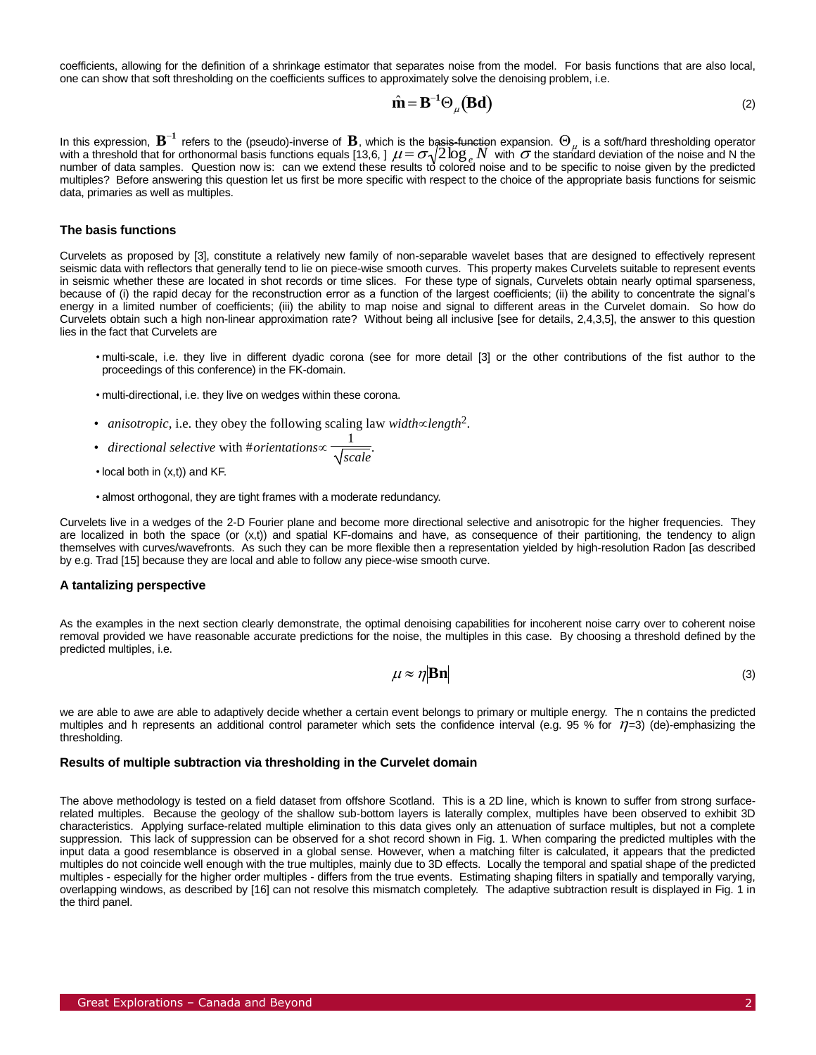coefficients, allowing for the definition of a shrinkage estimator that separates noise from the model. For basis functions that are also local, one can show that soft thresholding on the coefficients suffices to approximately solve the denoising problem, i.e.

$$
\hat{\mathbf{m}} = \mathbf{B}^{-1} \Theta_{\mu} (\mathbf{B} \mathbf{d}) \tag{2}
$$

number of data samples. Question now is: can we extend these results to colored hoise and to be specific to hoise given by the predicted<br>multiples? Before answering this question let us first be more specific with respect In this expression,  $B^{-1}$  refers to the (pseudo)-inverse of  $B$ , which is the basis-function expansion.  $\Theta_\mu$  is a soft/hard thresholding operator with a threshold that for orthonormal basis functions equals [13,6, ]  $\mu = \sigma \sqrt{2 \log_e N}$  with  $\sigma$  the standard deviation of the noise and N the number of data samples. Question now is: can we extend these results to colored noise and to be specific to noise given by the predicted data, primaries as well as multiples.

#### **The basis functions**

Curvelets as proposed by [3], constitute a relatively new family of non-separable wavelet bases that are designed to effectively represent seismic data with reflectors that generally tend to lie on piece-wise smooth curves. This property makes Curvelets suitable to represent events in seismic whether these are located in shot records or time slices. For these type of signals, Curvelets obtain nearly optimal sparseness, because of (i) the rapid decay for the reconstruction error as a function of the largest coefficients; (ii) the ability to concentrate the signal's energy in a limited number of coefficients; (iii) the ability to map noise and signal to different areas in the Curvelet domain. So how do Curvelets obtain such a high non-linear approximation rate? Without being all inclusive [see for details, 2,4,3,5], the answer to this question lies in the fact that Curvelets are

- multi-scale, i.e. they live in different dyadic corona (see for more detail [3] or the other contributions of the fist author to the proceedings of this conference) in the FK-domain.
- multi-directional, i.e. they live on wedges within these corona.
- *anisotropic*, i.e. they obey the following scaling law *width* $\propto$ length<sup>2</sup>.
- *directional selective* with #*orientations* 1 *scale* .
- local both in (x,t)) and KF.
- almost orthogonal, they are tight frames with a moderate redundancy.

Curvelets live in a wedges of the 2-D Fourier plane and become more directional selective and anisotropic for the higher frequencies. They are localized in both the space (or (x,t)) and spatial KF-domains and have, as consequence of their partitioning, the tendency to align themselves with curves/wavefronts. As such they can be more flexible then a representation yielded by high-resolution Radon [as described by e.g. Trad [15] because they are local and able to follow any piece-wise smooth curve.

#### **A tantalizing perspective**

As the examples in the next section clearly demonstrate, the optimal denoising capabilities for incoherent noise carry over to coherent noise removal provided we have reasonable accurate predictions for the noise, the multiples in this case. By choosing a threshold defined by the predicted multiples, i.e.

$$
\mu \approx \eta |\mathbf{Bn}| \tag{3}
$$

we are able to awe are able to adaptively decide whether a certain event belongs to primary or multiple energy. The n contains the predicted multiples and h represents an additional control parameter which sets the confidence interval (e.g. 95 % for  $\eta$ =3) (de)-emphasizing the thresholding.

#### **Results of multiple subtraction via thresholding in the Curvelet domain**

 The above methodology is tested on a field dataset from offshore Scotland. This is a 2D line, which is known to suffer from strong surfacerelated multiples. Because the geology of the shallow sub-bottom layers is laterally complex, multiples have been observed to exhibit 3D characteristics. Applying surface-related multiple elimination to this data gives only an attenuation of surface multiples, but not a complete suppression. This lack of suppression can be observed for a shot record shown in Fig. 1. When comparing the predicted multiples with the input data a good resemblance is observed in a global sense. However, when a matching filter is calculated, it appears that the predicted multiples do not coincide well enough with the true multiples, mainly due to 3D effects. Locally the temporal and spatial shape of the predicted multiples - especially for the higher order multiples - differs from the true events. Estimating shaping filters in spatially and temporally varying, overlapping windows, as described by [16] can not resolve this mismatch completely. The adaptive subtraction result is displayed in Fig. 1 in the third panel.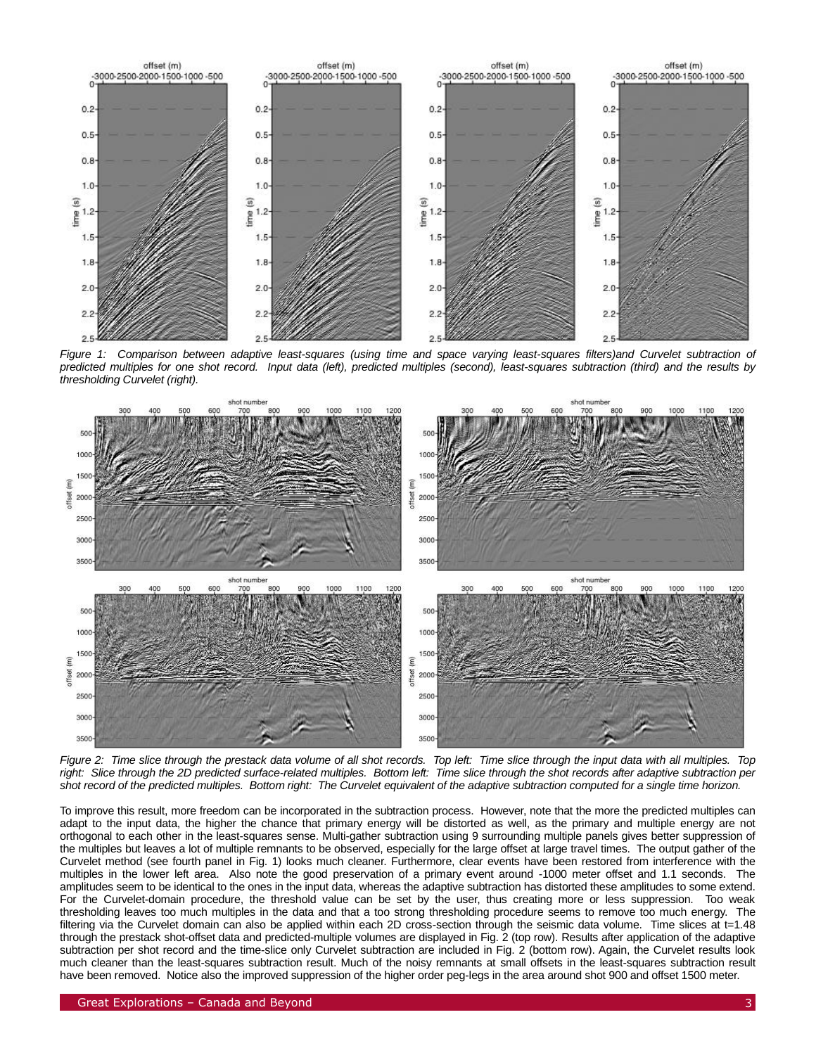

*Figure 1: Comparison between adaptive least-squares (using time and space varying least-squares filters)and Curvelet subtraction of predicted multiples for one shot record. Input data (left), predicted multiples (second), least-squares subtraction (third) and the results by thresholding Curvelet (right).*



*Figure 2: Time slice through the prestack data volume of all shot records. Top left: Time slice through the input data with all multiples. Top*  right: Slice through the 2D predicted surface-related multiples. Bottom left: Time slice through the shot records after adaptive subtraction per *shot record of the predicted multiples. Bottom right: The Curvelet equivalent of the adaptive subtraction computed for a single time horizon.*

To improve this result, more freedom can be incorporated in the subtraction process. However, note that the more the predicted multiples can adapt to the input data, the higher the chance that primary energy will be distorted as well, as the primary and multiple energy are not orthogonal to each other in the least-squares sense. Multi-gather subtraction using 9 surrounding multiple panels gives better suppression of the multiples but leaves a lot of multiple remnants to be observed, especially for the large offset at large travel times. The output gather of the Curvelet method (see fourth panel in Fig. 1) looks much cleaner. Furthermore, clear events have been restored from interference with the multiples in the lower left area. Also note the good preservation of a primary event around -1000 meter offset and 1.1 seconds. The amplitudes seem to be identical to the ones in the input data, whereas the adaptive subtraction has distorted these amplitudes to some extend. For the Curvelet-domain procedure, the threshold value can be set by the user, thus creating more or less suppression. Too weak thresholding leaves too much multiples in the data and that a too strong thresholding procedure seems to remove too much energy. The filtering via the Curvelet domain can also be applied within each 2D cross-section through the seismic data volume. Time slices at t=1.48 through the prestack shot-offset data and predicted-multiple volumes are displayed in Fig. 2 (top row). Results after application of the adaptive subtraction per shot record and the time-slice only Curvelet subtraction are included in Fig. 2 (bottom row). Again, the Curvelet results look much cleaner than the least-squares subtraction result. Much of the noisy remnants at small offsets in the least-squares subtraction result have been removed. Notice also the improved suppression of the higher order peg-legs in the area around shot 900 and offset 1500 meter.